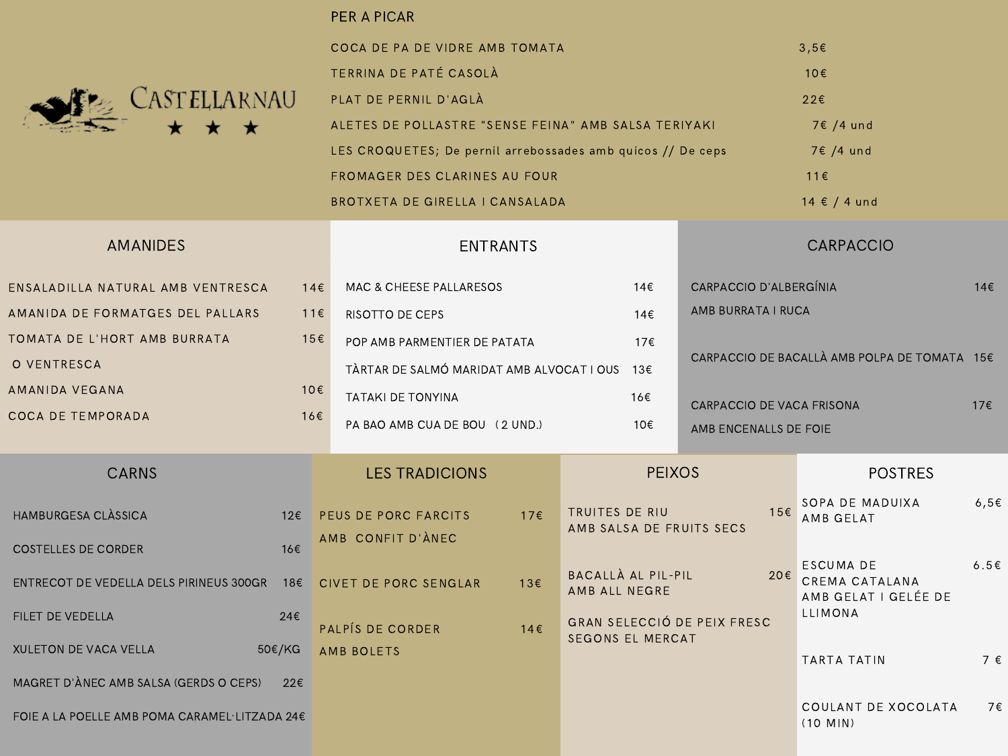

### PER A PICAR

| COCA DE PA DE VIDRE AMB TOMATA                              | $3.5\varepsilon$          |
|-------------------------------------------------------------|---------------------------|
| TERRINA DE PATÉ CASOLÀ                                      | 10E                       |
| PLAT DE PERNIL D'AGLÀ                                       | 22E                       |
| ALETES DE POLLASTRE "SENSE FEINA" AMB SALSA TERIYAKI        | $7 \in 74$ und            |
| LES CROQUETES; De pernil arrebossades amb quicos // De ceps | $7 \in 74$ und            |
| <b>FROMAGER DES CLARINES AU FOUR</b>                        | $11 \in$                  |
| BROTXETA DE GIRELLA I CANSALADA                             | $14 \text{ } \in$ / 4 und |

#### ENSALADILLA NATURAL AMB VENTRESCA 14€ AMANIDA DE FORMATGES DEL PALLARS 11€ TOMATA DE L'HORT AMB BURRATA 15€ O VENTRESCA AMANIDA VEGANA 10€ COCA DE TEMPORADA 16€ AMANIDES ENTRANTS CARPACCIO CARNS LES TRADICIONS PEIXOS POSTRES MAC & CHEESE PALLARESOS  $14€$ RISOTTO DE CEPS 14€ POP AMB PARMENTIER DE PATATA 17€ TÀRTAR DE SALMÓ MARIDAT AMB ALVOCAT I OUS 13€ TATAKI DE TONYINA 16€ PA BAO AMB CUA DE BOU (2 UND.) 10€ CARPACCIO D'ALBERGÍNIA 14€ AMB BURRATA I RUCA CARPACCIO DE BACALLÀ AMB POLPA DE TOMATA 15€ CARPACCIO DE VACA FRISONA 17€ AMB ENCENALLS DE FOIE HAMBURGESA CLÀSSICA 12€  $\overline{C}$ OSTELLES DE CORDER 16€ ENTRECOT DE VEDELLA DELS PIRINEUS 300GR 18€ FILET DE VEDELLA 24€  $XULETON DE VACA VELLA$  50€/KG MAGRET D'ÀNEC AMB SALSA (GERDS O CEPS) 22€ FOIE A LA POELLE AMB POMA CARAMEL·LITZADA 24€ PEUS DE PORC FARCITS 17€ AMB CONFIT D'ÀNEC CIVET DE PORC SENGLAR  $13€$ PALPÍS DE CORDER 14€ AMB BOLETS TRUITES DE RIU 15€ AMB SALSA DE FRUITS SECS BACALLÀ AL PIL-PIL 20€ AMB ALL NEGRE GRAN SELECCIÓ DE PEIX FRESC SEGONS EL MERCAT SOPA DE MADUIXA  $6,56$ AMB GELAT ESCUMA DE 6.5€ CREMA CATALANA AMB GELAT I GELÉE DE LLIMONA TARTA TATIN  $7 \in$ COULANT DE XOCOLATA 7€ (10 MIN)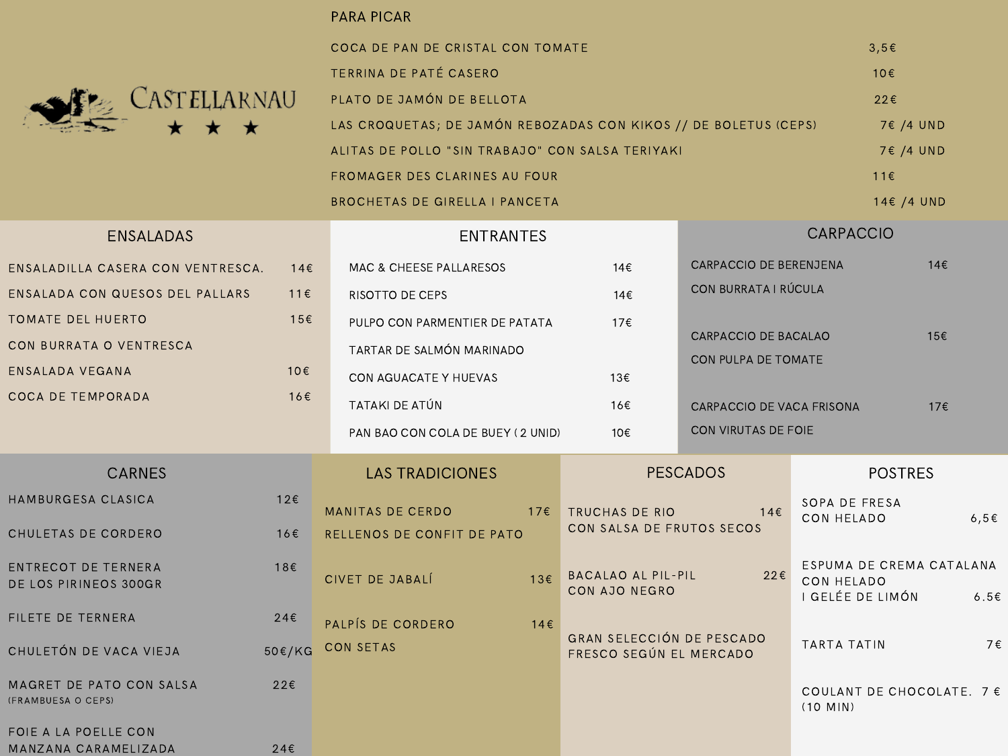

## PARA PICAR

| COCA DE PAN DE CRISTAL CON TOMATE                                | $3.5\varepsilon$ |
|------------------------------------------------------------------|------------------|
| TERRINA DE PATÉ CASERO                                           | 10E              |
| PLATO DE JAMÓN DE BELLOTA                                        | 22E              |
| LAS CROQUETAS; DE JAMÓN REBOZADAS CON KIKOS // DE BOLETUS (CEPS) | 7€ /4 UND        |
| ALITAS DE POLLO "SIN TRABAJO" CON SALSA TERIYAKI                 | $7 \in 74$ UND   |
| FROMAGER DES CLARINES AU FOUR                                    | $11 \in$         |
| BROCHETAS DE GIRELLA I PANCETA                                   | $14 \in /4$ UND  |

| <b>ENSALADAS</b>                                    | <b>ENTRANTES</b> |                                    |     | <b>CARPACCIO</b>                                            |                           |                                                            |           |
|-----------------------------------------------------|------------------|------------------------------------|-----|-------------------------------------------------------------|---------------------------|------------------------------------------------------------|-----------|
| ENSALADILLA CASERA CON VENTRESCA.                   | 14E              | <b>MAC &amp; CHEESE PALLARESOS</b> |     | 14€                                                         | CARPACCIO DE BERENJENA    |                                                            | 14€       |
| ENSALADA CON QUESOS DEL PALLARS                     | 11E              | RISOTTO DE CEPS                    |     | 14€                                                         | CON BURRATA I RÚCULA      |                                                            |           |
| TOMATE DEL HUERTO                                   | 15€              | PULPO CON PARMENTIER DE PATATA     |     | 17€                                                         |                           |                                                            |           |
| CON BURRATA O VENTRESCA                             |                  | TARTAR DE SALMÓN MARINADO          |     |                                                             | CARPACCIO DE BACALAO      |                                                            | 15€       |
| ENSALADA VEGANA                                     | 10€              | CON AGUACATE Y HUEVAS              |     | 13€                                                         | CON PULPA DE TOMATE       |                                                            |           |
| COCA DE TEMPORADA                                   | 16€              | TATAKI DE ATÚN                     |     | 16€                                                         | CARPACCIO DE VACA FRISONA |                                                            | 17€       |
|                                                     |                  | PAN BAO CON COLA DE BUEY (2 UNID)  |     | 10€                                                         | CON VIRUTAS DE FOIE       |                                                            |           |
| <b>CARNES</b>                                       |                  | <b>LAS TRADICIONES</b>             |     |                                                             | <b>PESCADOS</b>           | <b>POSTRES</b>                                             |           |
| HAMBURGESA CLASICA                                  | 12€              | MANITAS DE CERDO                   | 17E | TRUCHAS DE RIO                                              | 14E                       | SOPA DE FRESA                                              |           |
| CHULETAS DE CORDERO                                 | 16€              | RELLENOS DE CONFIT DE PATO         |     | CON SALSA DE FRUTOS SECOS                                   |                           | CON HELADO                                                 | $6,5 \in$ |
| <b>ENTRECOT DE TERNERA</b><br>DE LOS PIRINEOS 300GR | 18€              | CIVET DE JABALÍ                    | 13E | BACALAO AL PIL-PIL<br>CON AJO NEGRO                         | 22E                       | ESPUMA DE CREMA CATALANA<br>CON HELADO<br>I GELÉE DE LIMÓN | 6.5E      |
| FILETE DE TERNERA                                   | 24E              | PALPÍS DE CORDERO                  | 14E |                                                             |                           |                                                            |           |
| CHULETÓN DE VACA VIEJA                              | 50€/KG           | <b>CON SETAS</b>                   |     | <b>GRAN SELECCIÓN DE PESCADO</b><br>FRESCO SEGÚN EL MERCADO |                           | TARTA TATIN                                                | 7€        |
| MAGRET DE PATO CON SALSA<br>(FRAMBUESA O CEPS)      | 22€              |                                    |     |                                                             |                           | COULANT DE CHOCOLATE, $7 \in$<br>$(10$ MIN)                |           |
| FOIE A LA POELLE CON<br>MANZANA CARAMELIZADA        | 24E              |                                    |     |                                                             |                           |                                                            |           |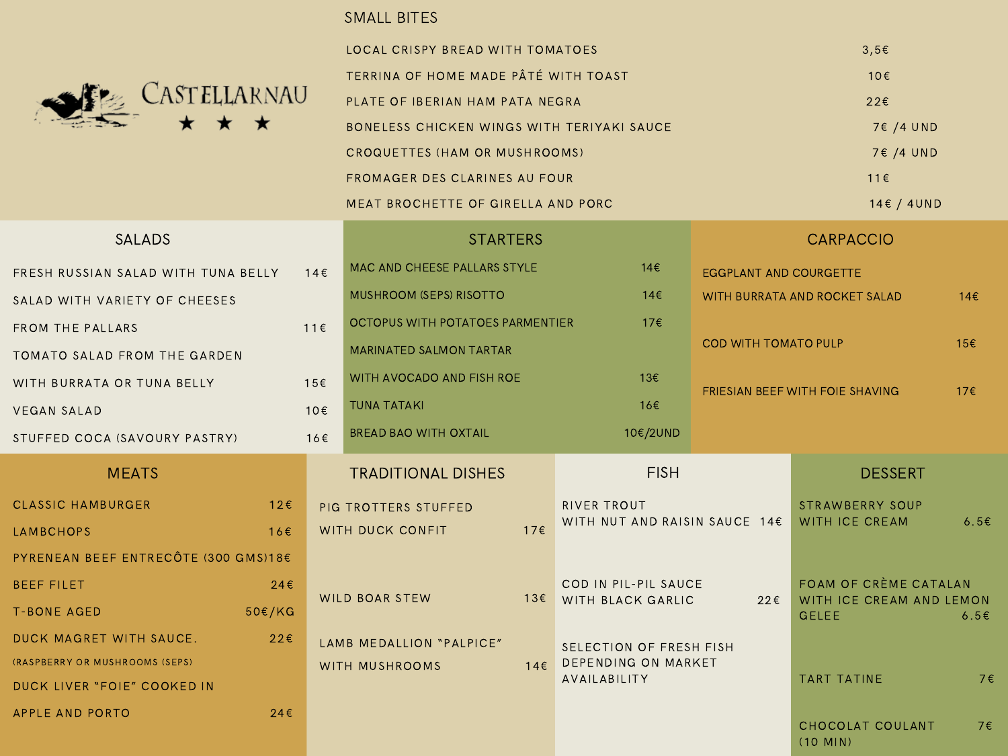

# SMALL BITES

| LOCAL CRISPY BREAD WITH TOMATOES           | $3.5\varepsilon$ |
|--------------------------------------------|------------------|
| TERRINA OF HOME MADE PÂTÉ WITH TOAST       | 10E              |
| PLATE OF IBERIAN HAM PATA NEGRA            | $22 \epsilon$    |
| BONELESS CHICKEN WINGS WITH TERIYAKI SAUCE | 7€ /4 UND        |
| CROQUETTES (HAM OR MUSHROOMS)              | 7€ /4 UND        |
| FROMAGER DES CLARINES AU FOUR              | $11 \in$         |
| MEAT BROCHETTE OF GIRELLA AND PORC         | 14E/4UND         |

| <b>SALADS</b>                        |               | <b>STARTERS</b>                         |                                  | <b>CARPACCIO</b>              |                                                |                               |                                |                                                   |  |
|--------------------------------------|---------------|-----------------------------------------|----------------------------------|-------------------------------|------------------------------------------------|-------------------------------|--------------------------------|---------------------------------------------------|--|
| FRESH RUSSIAN SALAD WITH TUNA BELLY  |               | 14E                                     | MAC AND CHEESE PALLARS STYLE     | 14E                           |                                                | <b>EGGPLANT AND COURGETTE</b> |                                |                                                   |  |
| SALAD WITH VARIETY OF CHEESES        |               | <b>MUSHROOM (SEPS) RISOTTO</b><br>14E   |                                  | WITH BURRATA AND ROCKET SALAD |                                                | 14E                           |                                |                                                   |  |
| 11E<br>FROM THE PALLARS              |               | OCTOPUS WITH POTATOES PARMENTIER<br>176 |                                  |                               |                                                |                               |                                |                                                   |  |
| TOMATO SALAD FROM THE GARDEN         |               |                                         | <b>MARINATED SALMON TARTAR</b>   |                               | COD WITH TOMATO PULP                           |                               | 15€                            |                                                   |  |
| WITH BURRATA OR TUNA BELLY           |               | 15€                                     | 13€<br>WITH AVOCADO AND FISH ROE |                               | <b>FRIESIAN BEEF WITH FOIE SHAVING</b>         |                               | 17E                            |                                                   |  |
| <b>VEGAN SALAD</b>                   |               | 10€                                     | <b>TUNA TATAKI</b>               |                               | 16€                                            |                               |                                |                                                   |  |
| STUFFED COCA (SAVOURY PASTRY)        |               | 16€                                     | <b>BREAD BAO WITH OXTAIL</b>     |                               | 10€/2UND                                       |                               |                                |                                                   |  |
| <b>MEATS</b>                         |               |                                         | <b>TRADITIONAL DISHES</b>        |                               | <b>FISH</b>                                    |                               | <b>DESSERT</b>                 |                                                   |  |
| <b>CLASSIC HAMBURGER</b>             | 12E           |                                         | PIG TROTTERS STUFFED             |                               | <b>RIVER TROUT</b>                             |                               | STRAWBERRY SOUP                |                                                   |  |
| LAMBCHOPS                            | 16E           |                                         | WITH DUCK CONFIT<br>17E          |                               | WITH NUT AND RAISIN SAUCE $14E$                |                               | <b>WITH ICE CREAM</b>          | 6.5E                                              |  |
| PYRENEAN BEEF ENTRECÔTE (300 GMS)18€ |               |                                         |                                  |                               |                                                |                               |                                |                                                   |  |
| <b>BEEF FILET</b>                    | 24E           |                                         |                                  |                               | <b>WILD BOAR STEW</b><br>13€ WITH BLACK GARLIC | COD IN PIL-PIL SAUCE          | $22 \epsilon$                  | FOAM OF CRÈME CATALAN<br>WITH ICE CREAM AND LEMON |  |
| <b>T-BONE AGED</b>                   | $50 \in / KG$ |                                         |                                  |                               |                                                |                               | <b>GELEE</b>                   | 6.5E                                              |  |
| DUCK MAGRET WITH SAUCE.              | 22E           |                                         | LAMB MEDALLION "PALPICE"         |                               | SELECTION OF FRESH FISH                        |                               |                                |                                                   |  |
| (RASPBERRY OR MUSHROOMS (SEPS)       |               |                                         | WITH MUSHROOMS                   | 14E                           | DEPENDING ON MARKET<br>AVAILABILITY            |                               | <b>TART TATINE</b>             | 7€                                                |  |
| DUCK LIVER "FOIE" COOKED IN          |               |                                         |                                  |                               |                                                |                               |                                |                                                   |  |
| APPLE AND PORTO                      | 24E           |                                         |                                  |                               |                                                |                               | CHOCOLAT COULANT<br>$(10$ MIN) | 7€                                                |  |